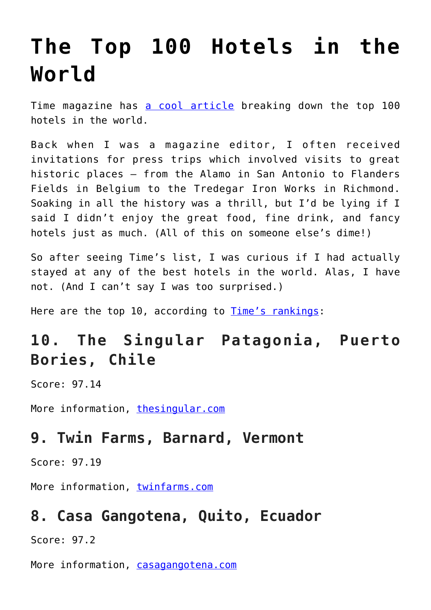# **[The Top 100 Hotels in the](https://intellectualtakeout.org/2017/06/the-top-100-hotels-in-the-world/) [World](https://intellectualtakeout.org/2017/06/the-top-100-hotels-in-the-world/)**

Time magazine has [a cool article](http://time.com/4798699/100-best-hotels/) breaking down the top 100 hotels in the world.

Back when I was a magazine editor, I often received invitations for press trips which involved visits to great historic places – from the Alamo in San Antonio to Flanders Fields in Belgium to the Tredegar Iron Works in Richmond. Soaking in all the history was a thrill, but I'd be lying if I said I didn't enjoy the great food, fine drink, and fancy hotels just as much. (All of this on someone else's dime!)

So after seeing Time's list, I was curious if I had actually stayed at any of the best hotels in the world. Alas, I have not. (And I can't say I was too surprised.)

Here are the top 10, according to [Time's rankings:](http://time.com/4798699/100-best-hotels/)

# **10. The Singular Patagonia, Puerto Bories, Chile**

Score: 97.14

More information, [thesingular.com](http://www.thesingular.com/patagonia/puertonatales/default-en.html)

#### **9. Twin Farms, Barnard, Vermont**

Score: 97.19

More information, [twinfarms.com](http://www.travelandleisure.com/worlds-best/www.twinfarms.com)

#### **8. Casa Gangotena, Quito, Ecuador**

Score: 97.2

More information, [casagangotena.com](https://www.casagangotena.com/en/)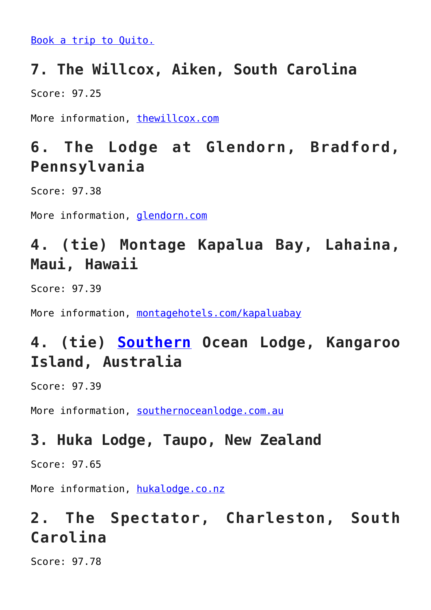[Book a trip to Quito.](http://www.travelandleisure.com/worlds-best/ecuador-travel-experience)

#### **7. The Willcox, Aiken, South Carolina**

Score: 97.25

More information, [thewillcox.com](http://thewillcox.com/)

## **6. The Lodge at Glendorn, Bradford, Pennsylvania**

Score: 97.38

More information, *[glendorn.com](http://www.glendorn.com/)* 

# **4. (tie) Montage Kapalua Bay, Lahaina, Maui, Hawaii**

Score: 97.39

More information, [montagehotels.com/kapaluabay](https://www.montagehotels.com/kapaluabay/)

# **4. (tie) [Southern](http://fortune.com/fortune500/southern/) Ocean Lodge, Kangaroo Island, Australia**

Score: 97.39

More information, [southernoceanlodge.com.au](http://www.travelandleisure.com/worlds-best/www.southernoceanlodge.com.au)

#### **3. Huka Lodge, Taupo, New Zealand**

Score: 97.65

More information, [hukalodge.co.nz](http://www.hukalodge.co.nz/)

# **2. The Spectator, Charleston, South Carolina**

Score: 97.78